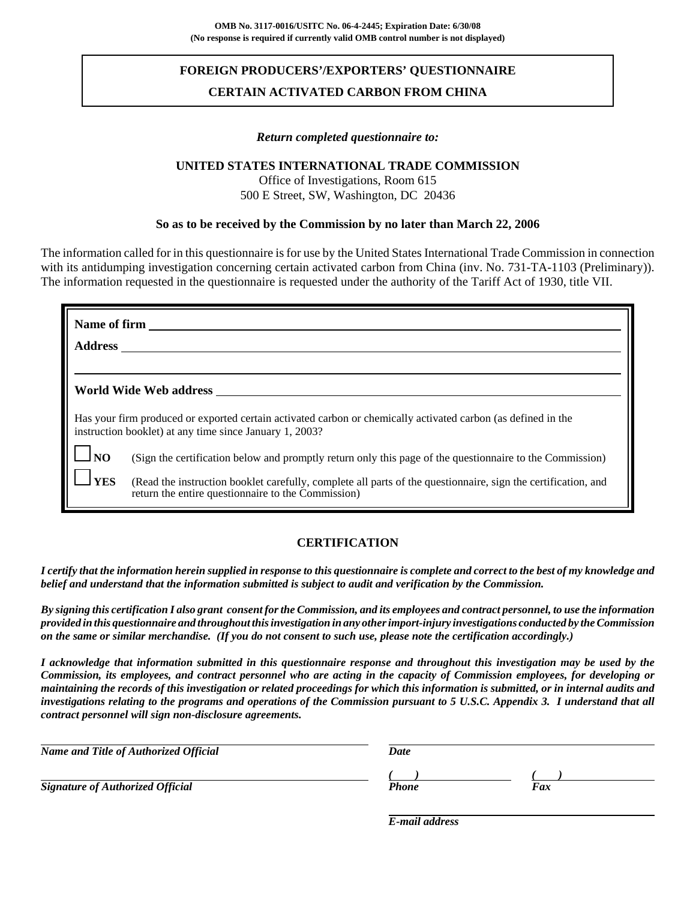# **FOREIGN PRODUCERS'/EXPORTERS' QUESTIONNAIRE CERTAIN ACTIVATED CARBON FROM CHINA**

#### *Return completed questionnaire to:*

### **UNITED STATES INTERNATIONAL TRADE COMMISSION**

Office of Investigations, Room 615 500 E Street, SW, Washington, DC 20436

#### **So as to be received by the Commission by no later than March 22, 2006**

The information called for in this questionnaire is for use by the United States International Trade Commission in connection with its antidumping investigation concerning certain activated carbon from China (inv. No. 731-TA-1103 (Preliminary)). The information requested in the questionnaire is requested under the authority of the Tariff Act of 1930, title VII.

| Name of firm<br><b>Address</b> |                                                                                                                                                                          |
|--------------------------------|--------------------------------------------------------------------------------------------------------------------------------------------------------------------------|
|                                |                                                                                                                                                                          |
|                                | World Wide Web address                                                                                                                                                   |
|                                | Has your firm produced or exported certain activated carbon or chemically activated carbon (as defined in the<br>instruction booklet) at any time since January 1, 2003? |
| N <sub>O</sub>                 | (Sign the certification below and promptly return only this page of the questionnaire to the Commission)                                                                 |
| <b>YES</b>                     | (Read the instruction booklet carefully, complete all parts of the questionnaire, sign the certification, and<br>return the entire questionnaire to the Commission)      |

### **CERTIFICATION**

*I certify that the information herein supplied in response to this questionnaire is complete and correct to the best of my knowledge and belief and understand that the information submitted is subject to audit and verification by the Commission.*

*By signing this certification I also grant consent for the Commission, and its employees and contract personnel, to use the information provided in this questionnaire and throughout this investigation in any other import-injury investigations conducted by the Commission on the same or similar merchandise. (If you do not consent to such use, please note the certification accordingly.)*

*I acknowledge that information submitted in this questionnaire response and throughout this investigation may be used by the Commission, its employees, and contract personnel who are acting in the capacity of Commission employees, for developing or maintaining the records of this investigation or related proceedings for which this information is submitted, or in internal audits and investigations relating to the programs and operations of the Commission pursuant to 5 U.S.C. Appendix 3. I understand that all contract personnel will sign non-disclosure agreements.*

| Name and Title of Authorized Official   | Date  |     |
|-----------------------------------------|-------|-----|
|                                         |       |     |
| <b>Signature of Authorized Official</b> | Phone | Fax |

*E-mail address*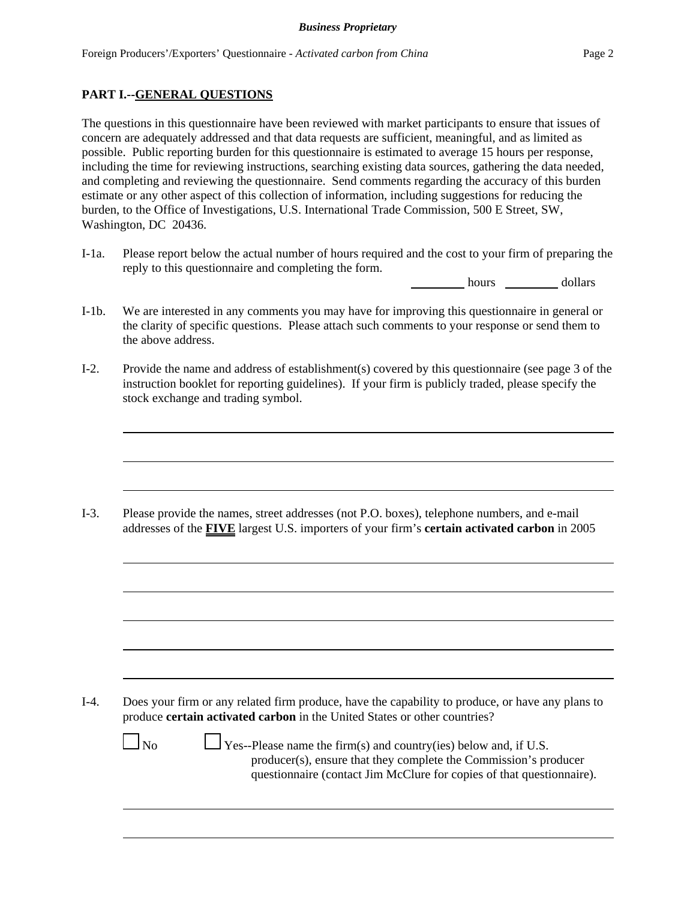# **PART I.--GENERAL QUESTIONS**

The questions in this questionnaire have been reviewed with market participants to ensure that issues of concern are adequately addressed and that data requests are sufficient, meaningful, and as limited as possible. Public reporting burden for this questionnaire is estimated to average 15 hours per response, including the time for reviewing instructions, searching existing data sources, gathering the data needed, and completing and reviewing the questionnaire. Send comments regarding the accuracy of this burden estimate or any other aspect of this collection of information, including suggestions for reducing the burden, to the Office of Investigations, U.S. International Trade Commission, 500 E Street, SW, Washington, DC 20436.

I-1a. Please report below the actual number of hours required and the cost to your firm of preparing the reply to this questionnaire and completing the form.

hours dollars

- I-1b. We are interested in any comments you may have for improving this questionnaire in general or the clarity of specific questions. Please attach such comments to your response or send them to the above address.
- I-2. Provide the name and address of establishment(s) covered by this questionnaire (see page 3 of the instruction booklet for reporting guidelines). If your firm is publicly traded, please specify the stock exchange and trading symbol.

I-3. Please provide the names, street addresses (not P.O. boxes), telephone numbers, and e-mail addresses of the **FIVE** largest U.S. importers of your firm's **certain activated carbon** in 2005

I-4. Does your firm or any related firm produce, have the capability to produce, or have any plans to produce **certain activated carbon** in the United States or other countries?

 $\Box$  No  $\Box$  Yes--Please name the firm(s) and country(ies) below and, if U.S. producer(s), ensure that they complete the Commission's producer questionnaire (contact Jim McClure for copies of that questionnaire).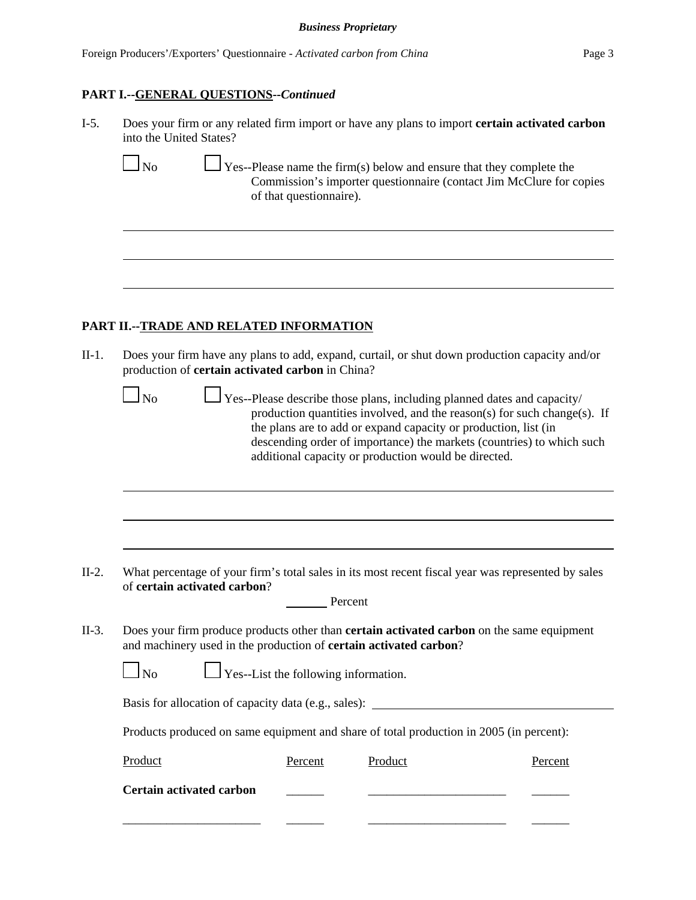#### **PART I.--GENERAL QUESTIONS--***Continued*

I-5. Does your firm or any related firm import or have any plans to import **certain activated carbon** into the United States?

 $\Box$  No  $\Box$  Yes--Please name the firm(s) below and ensure that they complete the Commission's importer questionnaire (contact Jim McClure for copies of that questionnaire).

#### **PART II.--TRADE AND RELATED INFORMATION**

II-1. Does your firm have any plans to add, expand, curtail, or shut down production capacity and/or production of **certain activated carbon** in China?

 $\Box$  No  $\Box$  Yes--Please describe those plans, including planned dates and capacity/ production quantities involved, and the reason(s) for such change(s). If the plans are to add or expand capacity or production, list (in descending order of importance) the markets (countries) to which such additional capacity or production would be directed.

II-2. What percentage of your firm's total sales in its most recent fiscal year was represented by sales of **certain activated carbon**?

| Percent |
|---------|
|         |

II-3. Does your firm produce products other than **certain activated carbon** on the same equipment and machinery used in the production of **certain activated carbon**?

|  | N <sub>0</sub> | $\Box$ Yes--List the following information. |
|--|----------------|---------------------------------------------|
|--|----------------|---------------------------------------------|

Basis for allocation of capacity data (e.g., sales): \_\_\_\_\_\_\_\_\_\_\_\_\_\_\_\_\_\_\_\_\_\_\_\_\_\_\_\_

Products produced on same equipment and share of total production in 2005 (in percent):

| Product                         | Percent | Product | Percent |
|---------------------------------|---------|---------|---------|
| <b>Certain activated carbon</b> |         |         |         |
|                                 |         |         |         |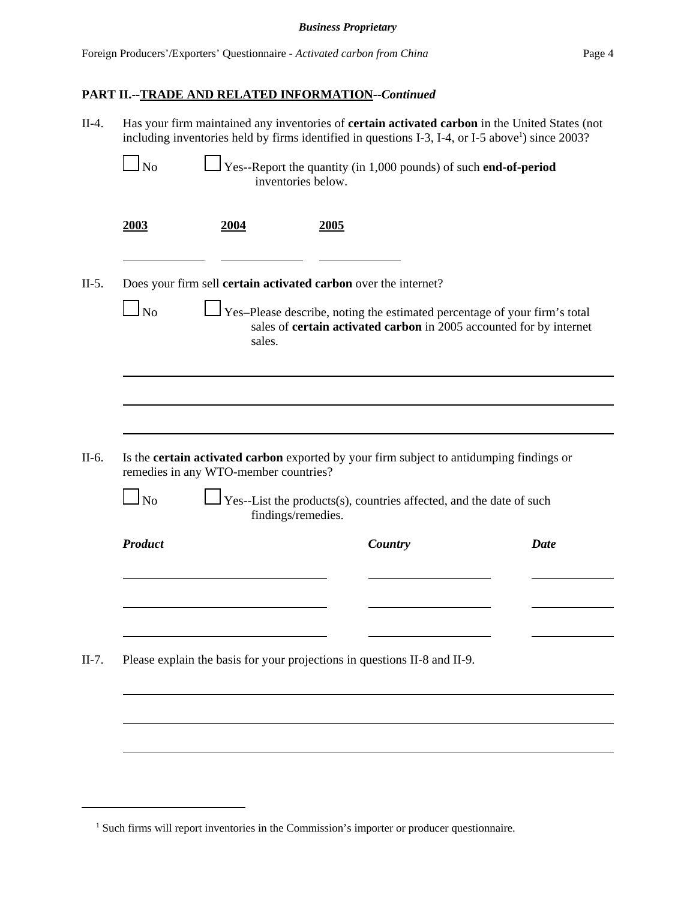# **PART II.--TRADE AND RELATED INFORMATION--***Continued*

|                            |                                       | including inventories held by firms identified in questions I-3, I-4, or I-5 above <sup>1</sup> ) since 2003?                                    | Has your firm maintained any inventories of <b>certain activated carbon</b> in the United States (not |      |
|----------------------------|---------------------------------------|--------------------------------------------------------------------------------------------------------------------------------------------------|-------------------------------------------------------------------------------------------------------|------|
| $\mathbf{I}_{\mathrm{No}}$ |                                       | Yes--Report the quantity (in 1,000 pounds) of such end-of-period<br>inventories below.                                                           |                                                                                                       |      |
| 2003                       | 2004                                  | <u>2005</u>                                                                                                                                      |                                                                                                       |      |
|                            |                                       | Does your firm sell certain activated carbon over the internet?                                                                                  |                                                                                                       |      |
| N <sub>o</sub>             | sales.                                | Yes-Please describe, noting the estimated percentage of your firm's total<br>sales of certain activated carbon in 2005 accounted for by internet |                                                                                                       |      |
|                            |                                       |                                                                                                                                                  |                                                                                                       |      |
|                            |                                       |                                                                                                                                                  |                                                                                                       |      |
|                            |                                       |                                                                                                                                                  |                                                                                                       |      |
|                            | remedies in any WTO-member countries? | Is the <b>certain activated carbon</b> exported by your firm subject to antidumping findings or                                                  |                                                                                                       |      |
| $\ln$                      |                                       | Yes--List the products(s), countries affected, and the date of such<br>findings/remedies.                                                        |                                                                                                       |      |
| <b>Product</b>             |                                       | Country                                                                                                                                          |                                                                                                       | Date |
|                            |                                       |                                                                                                                                                  |                                                                                                       |      |
|                            |                                       |                                                                                                                                                  |                                                                                                       |      |
|                            |                                       | Please explain the basis for your projections in questions II-8 and II-9.                                                                        |                                                                                                       |      |
|                            |                                       |                                                                                                                                                  |                                                                                                       |      |
|                            |                                       |                                                                                                                                                  |                                                                                                       |      |

<sup>&</sup>lt;sup>1</sup> Such firms will report inventories in the Commission's importer or producer questionnaire.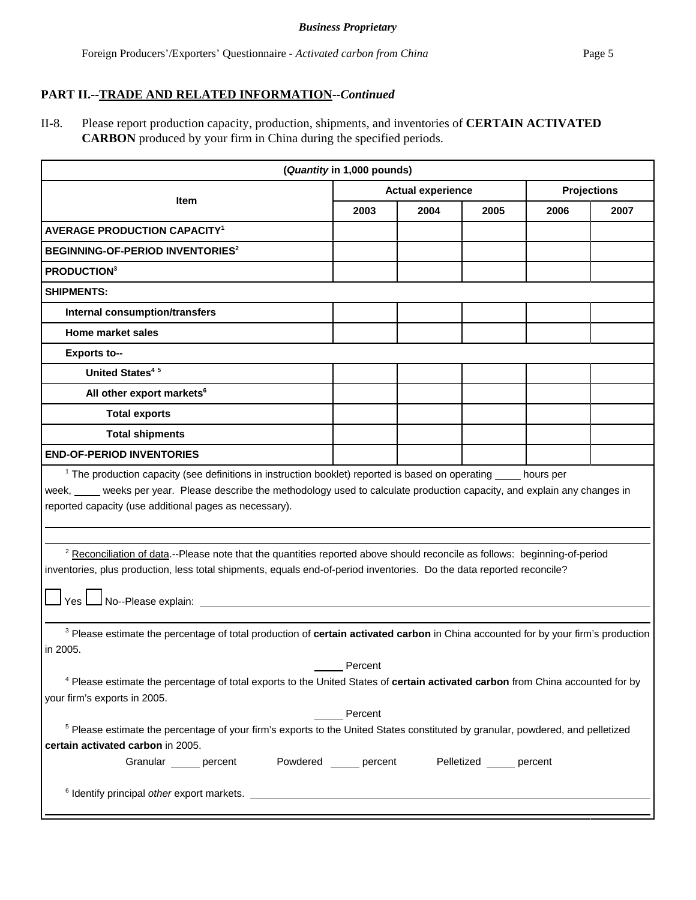# **PART II.--TRADE AND RELATED INFORMATION--***Continued*

II-8. Please report production capacity, production, shipments, and inventories of **CERTAIN ACTIVATED CARBON** produced by your firm in China during the specified periods.

| (Quantity in 1,000 pounds)                                                                                                                                                                                                                                                                |      |      |      |      |      |  |  |  |
|-------------------------------------------------------------------------------------------------------------------------------------------------------------------------------------------------------------------------------------------------------------------------------------------|------|------|------|------|------|--|--|--|
| <b>Actual experience</b><br><b>Projections</b><br><b>Item</b>                                                                                                                                                                                                                             |      |      |      |      |      |  |  |  |
|                                                                                                                                                                                                                                                                                           | 2003 | 2004 | 2005 | 2006 | 2007 |  |  |  |
| <b>AVERAGE PRODUCTION CAPACITY<sup>1</sup></b>                                                                                                                                                                                                                                            |      |      |      |      |      |  |  |  |
| BEGINNING-OF-PERIOD INVENTORIES <sup>2</sup>                                                                                                                                                                                                                                              |      |      |      |      |      |  |  |  |
| PRODUCTION <sup>3</sup>                                                                                                                                                                                                                                                                   |      |      |      |      |      |  |  |  |
| <b>SHIPMENTS:</b>                                                                                                                                                                                                                                                                         |      |      |      |      |      |  |  |  |
| Internal consumption/transfers                                                                                                                                                                                                                                                            |      |      |      |      |      |  |  |  |
| <b>Home market sales</b>                                                                                                                                                                                                                                                                  |      |      |      |      |      |  |  |  |
| <b>Exports to--</b>                                                                                                                                                                                                                                                                       |      |      |      |      |      |  |  |  |
| <b>United States<sup>45</sup></b>                                                                                                                                                                                                                                                         |      |      |      |      |      |  |  |  |
| All other export markets <sup>6</sup>                                                                                                                                                                                                                                                     |      |      |      |      |      |  |  |  |
| <b>Total exports</b>                                                                                                                                                                                                                                                                      |      |      |      |      |      |  |  |  |
| <b>Total shipments</b>                                                                                                                                                                                                                                                                    |      |      |      |      |      |  |  |  |
| <b>END-OF-PERIOD INVENTORIES</b>                                                                                                                                                                                                                                                          |      |      |      |      |      |  |  |  |
| week, ____ weeks per year. Please describe the methodology used to calculate production capacity, and explain any changes in<br>reported capacity (use additional pages as necessary).                                                                                                    |      |      |      |      |      |  |  |  |
| <sup>2</sup> Reconciliation of data.--Please note that the quantities reported above should reconcile as follows: beginning-of-period<br>inventories, plus production, less total shipments, equals end-of-period inventories. Do the data reported reconcile?<br>Yes No--Please explain: |      |      |      |      |      |  |  |  |
| <sup>3</sup> Please estimate the percentage of total production of certain activated carbon in China accounted for by your firm's production<br>in 2005.<br>Percent                                                                                                                       |      |      |      |      |      |  |  |  |
| <sup>4</sup> Please estimate the percentage of total exports to the United States of certain activated carbon from China accounted for by<br>your firm's exports in 2005.<br>Percent                                                                                                      |      |      |      |      |      |  |  |  |
| <sup>5</sup> Please estimate the percentage of your firm's exports to the United States constituted by granular, powdered, and pelletized<br>certain activated carbon in 2005.<br>Powdered percent<br>Granular _____ percent<br>Pelletized ______ percent                                 |      |      |      |      |      |  |  |  |
|                                                                                                                                                                                                                                                                                           |      |      |      |      |      |  |  |  |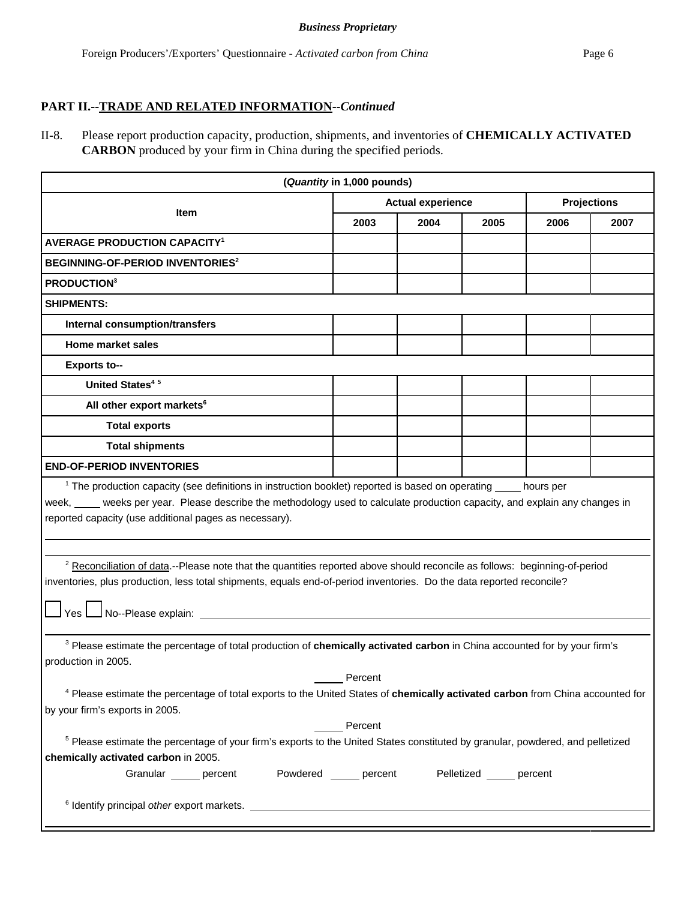# **PART II.--TRADE AND RELATED INFORMATION--***Continued*

II-8. Please report production capacity, production, shipments, and inventories of **CHEMICALLY ACTIVATED CARBON** produced by your firm in China during the specified periods.

| (Quantity in 1,000 pounds)                                                                                                                                                                                                                                                                                                                                                                                                                                                                                                                                                                                                                                                                  |                         |      |                           |      |      |  |  |  |  |
|---------------------------------------------------------------------------------------------------------------------------------------------------------------------------------------------------------------------------------------------------------------------------------------------------------------------------------------------------------------------------------------------------------------------------------------------------------------------------------------------------------------------------------------------------------------------------------------------------------------------------------------------------------------------------------------------|-------------------------|------|---------------------------|------|------|--|--|--|--|
| <b>Actual experience</b><br><b>Projections</b>                                                                                                                                                                                                                                                                                                                                                                                                                                                                                                                                                                                                                                              |                         |      |                           |      |      |  |  |  |  |
| <b>Item</b>                                                                                                                                                                                                                                                                                                                                                                                                                                                                                                                                                                                                                                                                                 | 2003                    | 2004 | 2005                      | 2006 | 2007 |  |  |  |  |
| <b>AVERAGE PRODUCTION CAPACITY<sup>1</sup></b>                                                                                                                                                                                                                                                                                                                                                                                                                                                                                                                                                                                                                                              |                         |      |                           |      |      |  |  |  |  |
| BEGINNING-OF-PERIOD INVENTORIES <sup>2</sup>                                                                                                                                                                                                                                                                                                                                                                                                                                                                                                                                                                                                                                                |                         |      |                           |      |      |  |  |  |  |
| <b>PRODUCTION3</b>                                                                                                                                                                                                                                                                                                                                                                                                                                                                                                                                                                                                                                                                          |                         |      |                           |      |      |  |  |  |  |
| <b>SHIPMENTS:</b>                                                                                                                                                                                                                                                                                                                                                                                                                                                                                                                                                                                                                                                                           |                         |      |                           |      |      |  |  |  |  |
| Internal consumption/transfers                                                                                                                                                                                                                                                                                                                                                                                                                                                                                                                                                                                                                                                              |                         |      |                           |      |      |  |  |  |  |
| <b>Home market sales</b>                                                                                                                                                                                                                                                                                                                                                                                                                                                                                                                                                                                                                                                                    |                         |      |                           |      |      |  |  |  |  |
| <b>Exports to--</b>                                                                                                                                                                                                                                                                                                                                                                                                                                                                                                                                                                                                                                                                         |                         |      |                           |      |      |  |  |  |  |
| <b>United States<sup>45</sup></b>                                                                                                                                                                                                                                                                                                                                                                                                                                                                                                                                                                                                                                                           |                         |      |                           |      |      |  |  |  |  |
| All other export markets <sup>6</sup>                                                                                                                                                                                                                                                                                                                                                                                                                                                                                                                                                                                                                                                       |                         |      |                           |      |      |  |  |  |  |
| <b>Total exports</b>                                                                                                                                                                                                                                                                                                                                                                                                                                                                                                                                                                                                                                                                        |                         |      |                           |      |      |  |  |  |  |
| <b>Total shipments</b>                                                                                                                                                                                                                                                                                                                                                                                                                                                                                                                                                                                                                                                                      |                         |      |                           |      |      |  |  |  |  |
| <b>END-OF-PERIOD INVENTORIES</b>                                                                                                                                                                                                                                                                                                                                                                                                                                                                                                                                                                                                                                                            |                         |      |                           |      |      |  |  |  |  |
| week, ____ weeks per year. Please describe the methodology used to calculate production capacity, and explain any changes in<br>reported capacity (use additional pages as necessary).                                                                                                                                                                                                                                                                                                                                                                                                                                                                                                      |                         |      |                           |      |      |  |  |  |  |
| <sup>2</sup> Reconciliation of data.--Please note that the quantities reported above should reconcile as follows: beginning-of-period<br>inventories, plus production, less total shipments, equals end-of-period inventories. Do the data reported reconcile?<br>$\sqrt{\frac{1}{1+\frac{1}{1+\frac{1}{1+\frac{1}{1+\frac{1}{1+\frac{1}{1+\frac{1}{1+\frac{1}{1+\frac{1}{1+\frac{1}{1+\frac{1}{1+\frac{1}{1+\frac{1}{1+\frac{1}{1+\frac{1}{1+\frac{1}{1+\frac{1}{1+\frac{1}{1+\frac{1}{1+\frac{1}{1+\frac{1}{1+\frac{1}{1+\frac{1}{1+\frac{1}{1+\frac{1}{1+\frac{1}{1+\frac{1}{1+\frac{1}{1+\frac{1}{1+\frac{1}{1+\frac{1}{1+\frac{1}{1+\frac{1}{1+\frac{1}{1+\frac{1}{1+\frac{1}{1+\frac$ |                         |      |                           |      |      |  |  |  |  |
| <sup>3</sup> Please estimate the percentage of total production of chemically activated carbon in China accounted for by your firm's<br>production in 2005.                                                                                                                                                                                                                                                                                                                                                                                                                                                                                                                                 |                         |      |                           |      |      |  |  |  |  |
| Percent<br><sup>4</sup> Please estimate the percentage of total exports to the United States of chemically activated carbon from China accounted for                                                                                                                                                                                                                                                                                                                                                                                                                                                                                                                                        |                         |      |                           |      |      |  |  |  |  |
| by your firm's exports in 2005.<br>Percent                                                                                                                                                                                                                                                                                                                                                                                                                                                                                                                                                                                                                                                  |                         |      |                           |      |      |  |  |  |  |
| <sup>5</sup> Please estimate the percentage of your firm's exports to the United States constituted by granular, powdered, and pelletized                                                                                                                                                                                                                                                                                                                                                                                                                                                                                                                                                   |                         |      |                           |      |      |  |  |  |  |
| chemically activated carbon in 2005.                                                                                                                                                                                                                                                                                                                                                                                                                                                                                                                                                                                                                                                        |                         |      |                           |      |      |  |  |  |  |
| Granular _____ percent                                                                                                                                                                                                                                                                                                                                                                                                                                                                                                                                                                                                                                                                      | Powdered ______ percent |      | Pelletized ______ percent |      |      |  |  |  |  |
|                                                                                                                                                                                                                                                                                                                                                                                                                                                                                                                                                                                                                                                                                             |                         |      |                           |      |      |  |  |  |  |